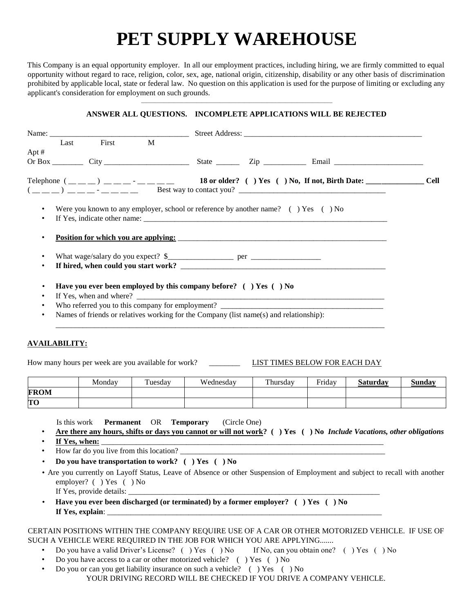# **PET SUPPLY WAREHOUSE**

This Company is an equal opportunity employer. In all our employment practices, including hiring, we are firmly committed to equal opportunity without regard to race, religion, color, sex, age, national origin, citizenship, disability or any other basis of discrimination prohibited by applicable local, state or federal law. No question on this application is used for the purpose of limiting or excluding any applicant's consideration for employment on such grounds.

# \_\_\_\_\_\_\_\_\_\_\_\_\_\_\_\_\_\_\_\_\_\_\_\_\_\_\_\_\_\_\_\_\_\_\_\_\_\_\_\_\_\_\_\_\_\_\_\_\_\_\_\_\_\_\_\_\_\_\_\_\_\_\_\_\_\_\_\_\_\_\_\_\_\_\_\_ **ANSWER ALL QUESTIONS. INCOMPLETE APPLICATIONS WILL BE REJECTED**

|                        | Last                                                                                   | First M |  |  |                                                                        |                                                                                                                                                                                                                                                                                                                                                      |  |
|------------------------|----------------------------------------------------------------------------------------|---------|--|--|------------------------------------------------------------------------|------------------------------------------------------------------------------------------------------------------------------------------------------------------------------------------------------------------------------------------------------------------------------------------------------------------------------------------------------|--|
| Apt $#$                |                                                                                        |         |  |  |                                                                        |                                                                                                                                                                                                                                                                                                                                                      |  |
|                        |                                                                                        |         |  |  |                                                                        |                                                                                                                                                                                                                                                                                                                                                      |  |
|                        |                                                                                        |         |  |  |                                                                        | Telephone $($ <sub>___</sub> __) ____ <sup>-</sup> _______ 18 or older? () Yes () No, If not, Birth Date: ___________ Cell<br>$($ $($ $)$ $)$ $)$ $       -$ Best way to contact you? $\frac{1}{2}$ $ \frac{1}{2}$ $ \frac{1}{2}$ $ \frac{1}{2}$ $ \frac{1}{2}$ $ \frac{1}{2}$ $ \frac{1}{2}$ $ \frac{1}{2}$ $ \frac{1}{2}$ $ \frac{1}{2}$ $ \frac{$ |  |
| $\bullet$<br>$\bullet$ |                                                                                        |         |  |  |                                                                        | Were you known to any employer, school or reference by another name? () Yes () No                                                                                                                                                                                                                                                                    |  |
| ٠<br>٠                 |                                                                                        |         |  |  |                                                                        | If hired, when could you start work?                                                                                                                                                                                                                                                                                                                 |  |
| ٠<br>$\bullet$         |                                                                                        |         |  |  | Have you ever been employed by this company before? $( )$ Yes $( )$ No |                                                                                                                                                                                                                                                                                                                                                      |  |
| ٠                      |                                                                                        |         |  |  |                                                                        | Who referred you to this company for employment?                                                                                                                                                                                                                                                                                                     |  |
| ٠                      | Names of friends or relatives working for the Company (list name(s) and relationship): |         |  |  |                                                                        |                                                                                                                                                                                                                                                                                                                                                      |  |
|                        |                                                                                        |         |  |  |                                                                        |                                                                                                                                                                                                                                                                                                                                                      |  |

### **AVAILABILITY:**

How many hours per week are you available for work? \_\_\_\_\_\_\_\_ LIST TIMES BELOW FOR EACH DAY

|             | Monday | Tuesday | Wednesday | Thursday | Friday | <b>Saturday</b> | <b>Sunday</b> |
|-------------|--------|---------|-----------|----------|--------|-----------------|---------------|
| <b>FROM</b> |        |         |           |          |        |                 |               |
| TО          |        |         |           |          |        |                 |               |

Is this work **Permanent** OR **Temporary** (Circle One)

- **Are there any hours, shifts or days you cannot or will not work? ( ) Yes ( ) No** *Include Vacations, other obligations*
- If Yes, when:
- How far do you live from this location?
- **Do you have transportation to work? ( ) Yes ( ) No**
- Are you currently on Layoff Status, Leave of Absence or other Suspension of Employment and subject to recall with another employer? ( ) Yes ( ) No If Yes, provide details:
- **Have you ever been discharged (or terminated) by a former employer? ( ) Yes ( ) No If Yes, explain:**

#### CERTAIN POSITIONS WITHIN THE COMPANY REQUIRE USE OF A CAR OR OTHER MOTORIZED VEHICLE. IF USE OF SUCH A VEHICLE WERE REQUIRED IN THE JOB FOR WHICH YOU ARE APPLYING.......

- Do you have a valid Driver's License? ( ) Yes ( ) No If No, can you obtain one? ( ) Yes ( ) No
- Do you have access to a car or other motorized vehicle? ( ) Yes ( ) No
- Do you or can you get liability insurance on such a vehicle? ( ) Yes ( ) No YOUR DRIVING RECORD WILL BE CHECKED IF YOU DRIVE A COMPANY VEHICLE.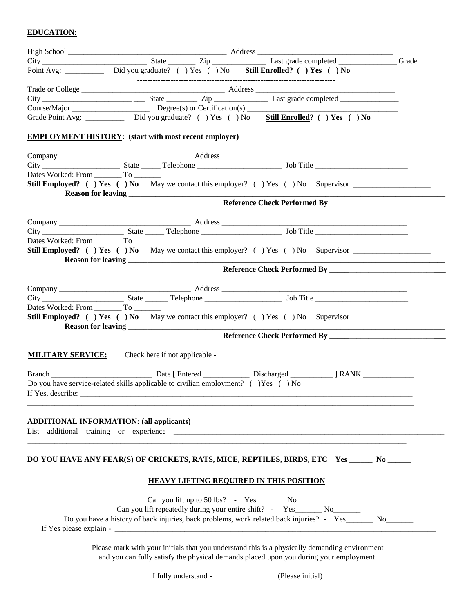# **EDUCATION:**

|                                           | Point Avg: ____________ Did you graduate? () Yes () No Still Enrolled? () Yes () No                     |  |
|-------------------------------------------|---------------------------------------------------------------------------------------------------------|--|
|                                           |                                                                                                         |  |
|                                           |                                                                                                         |  |
|                                           |                                                                                                         |  |
|                                           | Grade Point Avg: _____________ Did you graduate? () Yes () No Still Enrolled? () Yes () No              |  |
|                                           | <b>EMPLOYMENT HISTORY:</b> (start with most recent employer)                                            |  |
|                                           |                                                                                                         |  |
|                                           |                                                                                                         |  |
|                                           |                                                                                                         |  |
|                                           | Still Employed? () Yes () No May we contact this employer? () Yes () No Supervisor _________________    |  |
|                                           |                                                                                                         |  |
|                                           |                                                                                                         |  |
|                                           |                                                                                                         |  |
|                                           |                                                                                                         |  |
| Dates Worked: From __________ To ________ |                                                                                                         |  |
|                                           | Still Employed? () Yes () No May we contact this employer? () Yes () No Supervisor ________________     |  |
|                                           |                                                                                                         |  |
|                                           |                                                                                                         |  |
|                                           |                                                                                                         |  |
|                                           |                                                                                                         |  |
| Dates Worked: From _________ To ________  | Still Employed? () Yes () No May we contact this employer? () Yes () No Supervisor _________________    |  |
|                                           |                                                                                                         |  |
|                                           |                                                                                                         |  |
|                                           |                                                                                                         |  |
| <b>MILITARY SERVICE:</b>                  |                                                                                                         |  |
|                                           | Branch Communication and Date [Entered Communication Discharged Communication ] RANK                    |  |
|                                           | Do you have service-related skills applicable to civilian employment? () Yes () No                      |  |
| If Yes, describe:                         |                                                                                                         |  |
|                                           |                                                                                                         |  |
|                                           | <b>ADDITIONAL INFORMATION: (all applicants)</b>                                                         |  |
|                                           |                                                                                                         |  |
|                                           |                                                                                                         |  |
|                                           | DO YOU HAVE ANY FEAR(S) OF CRICKETS, RATS, MICE, REPTILES, BIRDS, ETC Yes _______ No ______             |  |
|                                           |                                                                                                         |  |
|                                           | <b>HEAVY LIFTING REQUIRED IN THIS POSITION</b>                                                          |  |
|                                           |                                                                                                         |  |
|                                           | Can you lift repeatedly during your entire shift? - Yes_______ No_______                                |  |
|                                           | Do you have a history of back injuries, back problems, work related back injuries? - Yes______ No______ |  |
|                                           |                                                                                                         |  |
|                                           | Please mark with your initials that you understand this is a physically demanding environment           |  |
|                                           | and you can fully satisfy the physical demands placed upon you during your employment.                  |  |
|                                           |                                                                                                         |  |

I fully understand - \_\_\_\_\_\_\_\_\_\_\_\_\_\_\_\_ (Please initial)